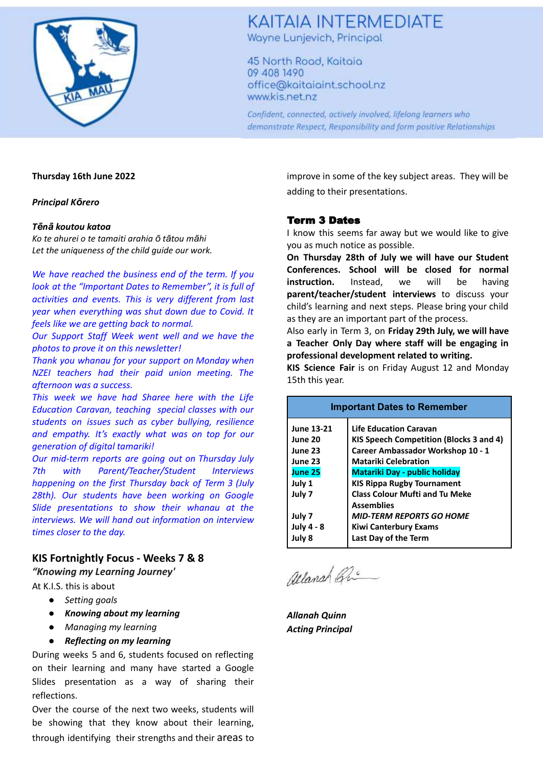

### **KAITAIA INTERMEDIATE**

Wayne Lunjevich, Principal

45 North Road, Kaitaia 09 408 1490 office@kaitaiaint.school.nz www.kis.net.nz

Confident, connected, actively involved, lifelong learners who demonstrate Respect, Responsibility and form positive Relationships

#### **Thursday 16th June 2022**

*Principal Kōrero*

#### *Tēnā koutou katoa*

*Ko te ahurei o te tamaiti arahia ō tātou māhi Let the uniqueness of the child guide our work.*

*We have reached the business end of the term. If you look at the "Important Dates to Remember", it is full of activities and events. This is very different from last year when everything was shut down due to Covid. It feels like we are getting back to normal.*

*Our Support Staff Week went well and we have the photos to prove it on this newsletter!*

*Thank you whanau for your support on Monday when NZEI teachers had their paid union meeting. The afternoon was a success.*

*This week we have had Sharee here with the Life Education Caravan, teaching special classes with our students on issues such as cyber bullying, resilience and empathy. It's exactly what was on top for our generation of digital tamariki!*

*Our mid-term reports are going out on Thursday July 7th with Parent/Teacher/Student Interviews happening on the first Thursday back of Term 3 (July 28th). Our students have been working on Google Slide presentations to show their whanau at the interviews. We will hand out information on interview times closer to the day.*

#### **KIS Fortnightly Focus - Weeks 7 & 8**

*"Knowing my Learning Journey'*

- At K.I.S. this is about
	- *● Setting goals*
	- *● Knowing about my learning*
	- *● Managing my learning*
	- *● Reflecting on my learning*

During weeks 5 and 6, students focused on reflecting on their learning and many have started a Google Slides presentation as a way of sharing their reflections.

Over the course of the next two weeks, students will be showing that they know about their learning, through identifying their strengths and their areas to improve in some of the key subject areas. They will be adding to their presentations.

#### Term 3 Dates

I know this seems far away but we would like to give you as much notice as possible.

**On Thursday 28th of July we will have our Student Conferences. School will be closed for normal instruction.** Instead, we will be having **parent/teacher/student interviews** to discuss your child's learning and next steps. Please bring your child as they are an important part of the process.

Also early in Term 3, on **Friday 29th July, we will have a Teacher Only Day where staff will be engaging in professional development related to writing.**

**KIS Science Fair** is on Friday August 12 and Monday 15th this year.

| <b>Important Dates to Remember</b> |                                                |
|------------------------------------|------------------------------------------------|
| June 13-21                         | <b>Life Education Caravan</b>                  |
| June 20                            | <b>KIS Speech Competition (Blocks 3 and 4)</b> |
| June 23                            | Career Ambassador Workshop 10 - 1              |
| June 23                            | <b>Matariki Celebration</b>                    |
| <b>June 25</b>                     | <b>Matariki Day - public holiday</b>           |
| July 1                             | <b>KIS Rippa Rugby Tournament</b>              |
| July 7                             | <b>Class Colour Mufti and Tu Meke</b>          |
|                                    | <b>Assemblies</b>                              |
| July 7                             | <b>MID-TERM REPORTS GO HOME</b>                |
| <b>July 4 - 8</b>                  | <b>Kiwi Canterbury Exams</b>                   |
| July 8                             | Last Day of the Term                           |

Allanch Gu

*Allanah Quinn Acting Principal*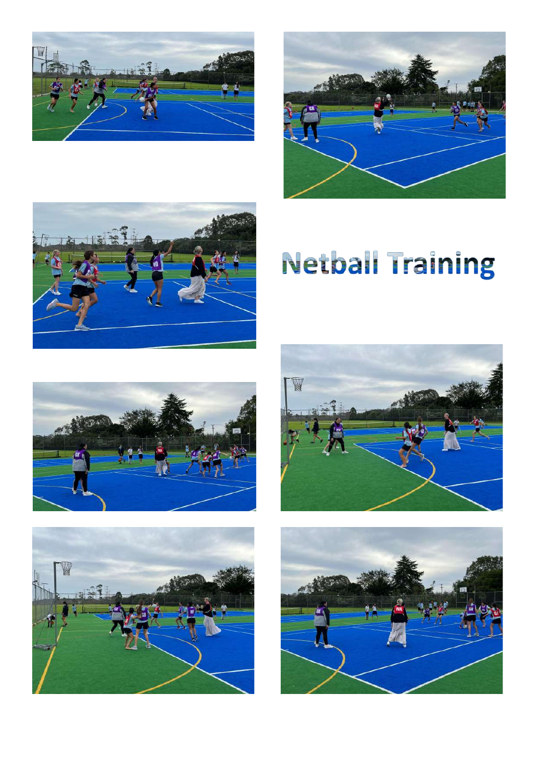





# **Netball Training**